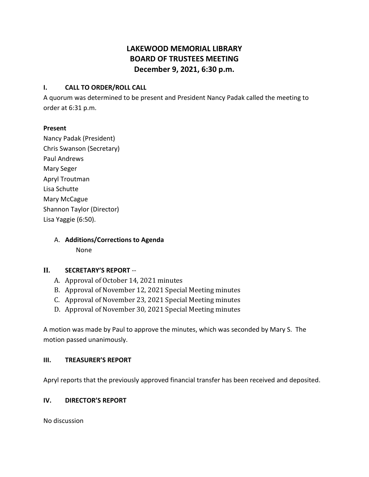# **LAKEWOOD MEMORIAL LIBRARY BOARD OF TRUSTEES MEETING December 9, 2021, 6:30 p.m.**

### **I. CALL TO ORDER/ROLL CALL**

A quorum was determined to be present and President Nancy Padak called the meeting to order at 6:31 p.m.

#### **Present**

Nancy Padak (President) Chris Swanson (Secretary) Paul Andrews Mary Seger Apryl Troutman Lisa Schutte Mary McCague Shannon Taylor (Director) Lisa Yaggie (6:50).

> A. **Additions/Corrections to Agenda** None

### **II. SECRETARY'S REPORT** --

- A. Approval of October 14, 2021 minutes
- B. Approval of November 12, 2021 Special Meeting minutes
- C. Approval of November 23, 2021 Special Meeting minutes
- D. Approval of November 30, 2021 Special Meeting minutes

A motion was made by Paul to approve the minutes, which was seconded by Mary S. The motion passed unanimously.

#### **III. TREASURER'S REPORT**

Apryl reports that the previously approved financial transfer has been received and deposited.

### **IV. DIRECTOR'S REPORT**

No discussion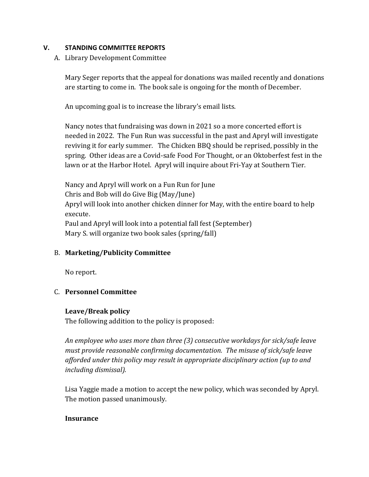### **V. STANDING COMMITTEE REPORTS**

### A. Library Development Committee

Mary Seger reports that the appeal for donations was mailed recently and donations are starting to come in. The book sale is ongoing for the month of December.

An upcoming goal is to increase the library's email lists.

Nancy notes that fundraising was down in 2021 so a more concerted effort is needed in 2022. The Fun Run was successful in the past and Apryl will investigate reviving it for early summer. The Chicken BBQ should be reprised, possibly in the spring. Other ideas are a Covid-safe Food For Thought, or an Oktoberfest fest in the lawn or at the Harbor Hotel. Apryl will inquire about Fri-Yay at Southern Tier.

Nancy and Apryl will work on a Fun Run for June Chris and Bob will do Give Big (May/June) Apryl will look into another chicken dinner for May, with the entire board to help execute. Paul and Apryl will look into a potential fall fest (September) Mary S. will organize two book sales (spring/fall)

## B. **Marketing/Publicity Committee**

No report.

## C. **Personnel Committee**

### **Leave/Break policy**

The following addition to the policy is proposed:

*An employee who uses more than three (3) consecutive workdays for sick/safe leave must provide reasonable confirming documentation. The misuse of sick/safe leave afforded under this policy may result in appropriate disciplinary action (up to and including dismissal).*

Lisa Yaggie made a motion to accept the new policy, which was seconded by Apryl. The motion passed unanimously.

### **Insurance**